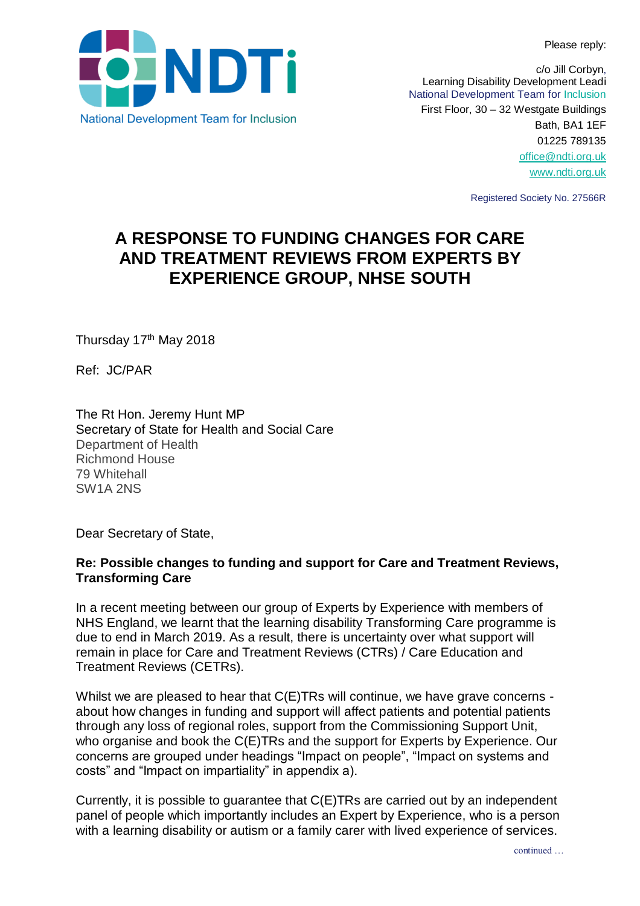Please reply:



First Floor, 30 – 32 Westgate Buildings Bath, BA1 1EF 01225 789135 [office@ndti.org.uk](mailto:office@ndti.org.uk) [www.ndti.org.uk](http://www.ndti.org.uk/)

Registered Society No. 27566R

# **A RESPONSE TO FUNDING CHANGES FOR CARE AND TREATMENT REVIEWS FROM EXPERTS BY EXPERIENCE GROUP, NHSE SOUTH**

Thursday 17<sup>th</sup> May 2018

Ref: JC/PAR

The Rt Hon. Jeremy Hunt MP Secretary of State for Health and Social Care Department of Health Richmond House 79 Whitehall SW1A 2NS

Dear Secretary of State,

### **Re: Possible changes to funding and support for Care and Treatment Reviews, Transforming Care**

In a recent meeting between our group of Experts by Experience with members of NHS England, we learnt that the learning disability Transforming Care programme is due to end in March 2019. As a result, there is uncertainty over what support will remain in place for Care and Treatment Reviews (CTRs) / Care Education and Treatment Reviews (CETRs).

Whilst we are pleased to hear that C(E)TRs will continue, we have grave concerns about how changes in funding and support will affect patients and potential patients through any loss of regional roles, support from the Commissioning Support Unit, who organise and book the C(E)TRs and the support for Experts by Experience. Our concerns are grouped under headings "Impact on people", "Impact on systems and costs" and "Impact on impartiality" in appendix a).

Currently, it is possible to guarantee that C(E)TRs are carried out by an independent panel of people which importantly includes an Expert by Experience, who is a person with a learning disability or autism or a family carer with lived experience of services.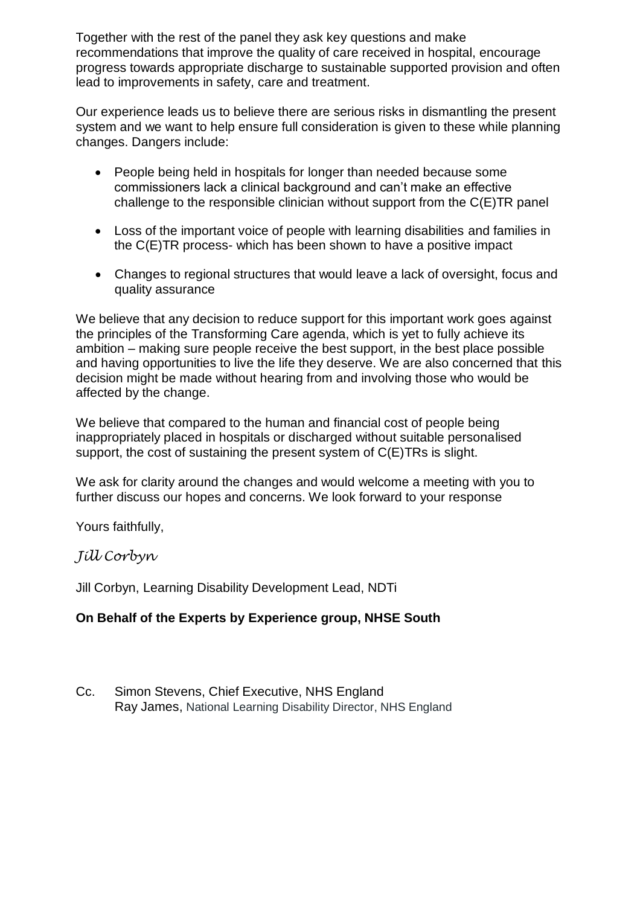Together with the rest of the panel they ask key questions and make recommendations that improve the quality of care received in hospital, encourage progress towards appropriate discharge to sustainable supported provision and often lead to improvements in safety, care and treatment.

Our experience leads us to believe there are serious risks in dismantling the present system and we want to help ensure full consideration is given to these while planning changes. Dangers include:

- People being held in hospitals for longer than needed because some commissioners lack a clinical background and can't make an effective challenge to the responsible clinician without support from the C(E)TR panel
- Loss of the important voice of people with learning disabilities and families in the C(E)TR process- which has been shown to have a positive impact
- Changes to regional structures that would leave a lack of oversight, focus and quality assurance

We believe that any decision to reduce support for this important work goes against the principles of the Transforming Care agenda, which is yet to fully achieve its ambition – making sure people receive the best support, in the best place possible and having opportunities to live the life they deserve. We are also concerned that this decision might be made without hearing from and involving those who would be affected by the change.

We believe that compared to the human and financial cost of people being inappropriately placed in hospitals or discharged without suitable personalised support, the cost of sustaining the present system of C(E)TRs is slight.

We ask for clarity around the changes and would welcome a meeting with you to further discuss our hopes and concerns. We look forward to your response

Yours faithfully,

## *Jill Corbyn*

Jill Corbyn, Learning Disability Development Lead, NDTi

## **On Behalf of the Experts by Experience group, NHSE South**

Cc. Simon Stevens, Chief Executive, NHS England Ray James, National Learning Disability Director, NHS England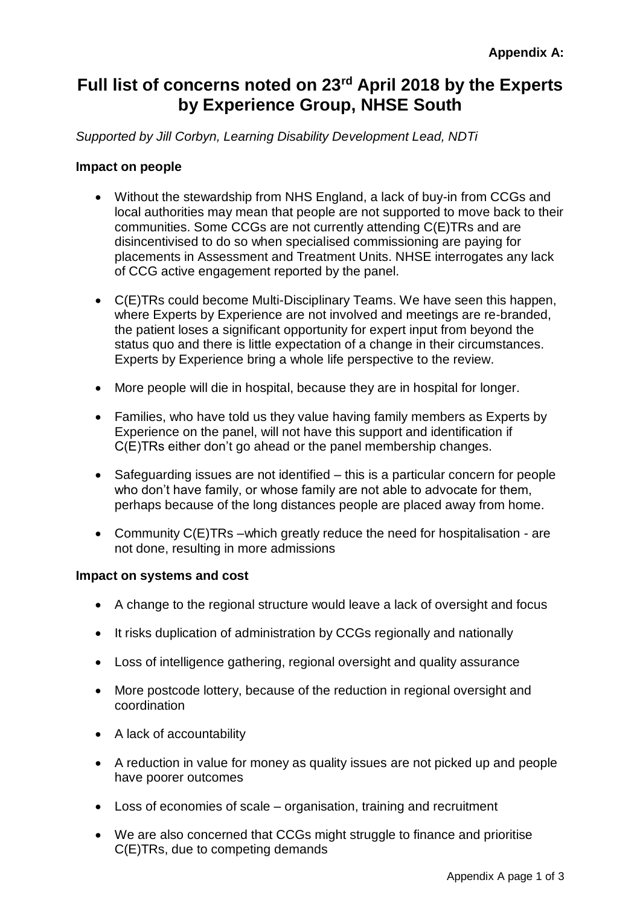## **Full list of concerns noted on 23rd April 2018 by the Experts by Experience Group, NHSE South**

*Supported by Jill Corbyn, Learning Disability Development Lead, NDTi* 

### **Impact on people**

- Without the stewardship from NHS England, a lack of buy-in from CCGs and local authorities may mean that people are not supported to move back to their communities. Some CCGs are not currently attending C(E)TRs and are disincentivised to do so when specialised commissioning are paying for placements in Assessment and Treatment Units. NHSE interrogates any lack of CCG active engagement reported by the panel.
- C(E)TRs could become Multi-Disciplinary Teams. We have seen this happen, where Experts by Experience are not involved and meetings are re-branded, the patient loses a significant opportunity for expert input from beyond the status quo and there is little expectation of a change in their circumstances. Experts by Experience bring a whole life perspective to the review.
- More people will die in hospital, because they are in hospital for longer.
- Families, who have told us they value having family members as Experts by Experience on the panel, will not have this support and identification if C(E)TRs either don't go ahead or the panel membership changes.
- Safeguarding issues are not identified this is a particular concern for people who don't have family, or whose family are not able to advocate for them, perhaps because of the long distances people are placed away from home.
- Community C(E)TRs –which greatly reduce the need for hospitalisation are not done, resulting in more admissions

### **Impact on systems and cost**

- A change to the regional structure would leave a lack of oversight and focus
- It risks duplication of administration by CCGs regionally and nationally
- Loss of intelligence gathering, regional oversight and quality assurance
- More postcode lottery, because of the reduction in regional oversight and coordination
- A lack of accountability
- A reduction in value for money as quality issues are not picked up and people have poorer outcomes
- Loss of economies of scale organisation, training and recruitment
- We are also concerned that CCGs might struggle to finance and prioritise C(E)TRs, due to competing demands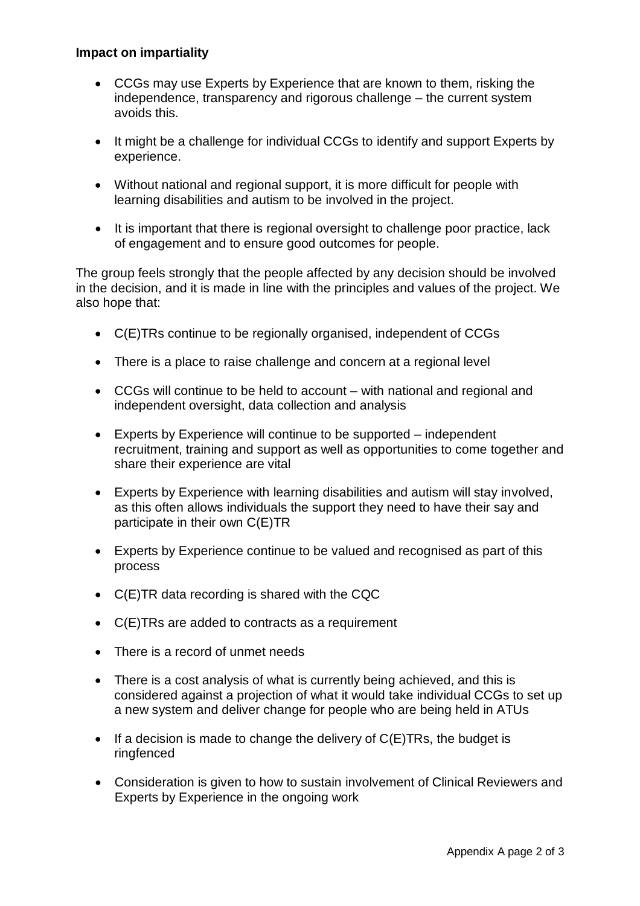### **Impact on impartiality**

- CCGs may use Experts by Experience that are known to them, risking the independence, transparency and rigorous challenge – the current system avoids this.
- It might be a challenge for individual CCGs to identify and support Experts by experience.
- Without national and regional support, it is more difficult for people with learning disabilities and autism to be involved in the project.
- It is important that there is regional oversight to challenge poor practice, lack of engagement and to ensure good outcomes for people.

The group feels strongly that the people affected by any decision should be involved in the decision, and it is made in line with the principles and values of the project. We also hope that:

- C(E)TRs continue to be regionally organised, independent of CCGs
- There is a place to raise challenge and concern at a regional level
- CCGs will continue to be held to account with national and regional and independent oversight, data collection and analysis
- Experts by Experience will continue to be supported independent recruitment, training and support as well as opportunities to come together and share their experience are vital
- Experts by Experience with learning disabilities and autism will stay involved, as this often allows individuals the support they need to have their say and participate in their own C(E)TR
- Experts by Experience continue to be valued and recognised as part of this process
- C(E)TR data recording is shared with the CQC
- C(E)TRs are added to contracts as a requirement
- There is a record of unmet needs
- There is a cost analysis of what is currently being achieved, and this is considered against a projection of what it would take individual CCGs to set up a new system and deliver change for people who are being held in ATUs
- $\bullet$  If a decision is made to change the delivery of  $C(E)$ TRs, the budget is ringfenced
- Consideration is given to how to sustain involvement of Clinical Reviewers and Experts by Experience in the ongoing work